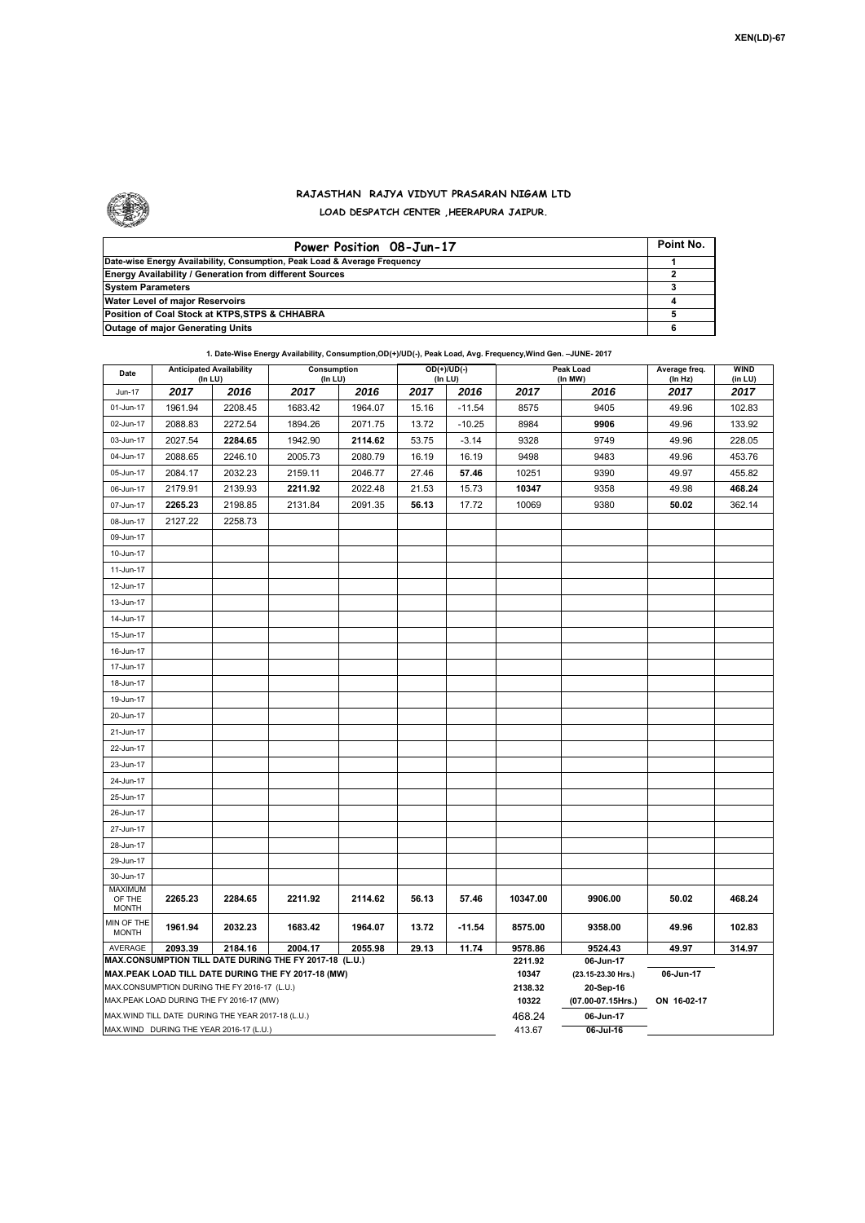

## **RAJASTHAN RAJYA VIDYUT PRASARAN NIGAM LTD LOAD DESPATCH CENTER ,HEERAPURA JAIPUR.**

| Power Position 08-Jun-17                                                  | Point No. |
|---------------------------------------------------------------------------|-----------|
| Date-wise Energy Availability, Consumption, Peak Load & Average Frequency |           |
| <b>Energy Availability / Generation from different Sources</b>            |           |
| <b>System Parameters</b>                                                  |           |
| Water Level of major Reservoirs                                           |           |
| Position of Coal Stock at KTPS, STPS & CHHABRA                            |           |
| <b>Outage of major Generating Units</b>                                   |           |

## **1. Date-Wise Energy Availability, Consumption,OD(+)/UD(-), Peak Load, Avg. Frequency,Wind Gen. –JUNE- 2017**

| Date                                                                                         | <b>Anticipated Availability</b><br>(In LU) |         | Consumption<br>(In LU) |         | OD(+)/UD(-)<br>(In LU) |          |           | Peak Load<br>(In MW) | Average freq.<br>(In Hz) | WIND<br>(in LU) |  |  |
|----------------------------------------------------------------------------------------------|--------------------------------------------|---------|------------------------|---------|------------------------|----------|-----------|----------------------|--------------------------|-----------------|--|--|
| Jun-17                                                                                       | 2017                                       | 2016    | 2017                   | 2016    | 2017                   | 2016     | 2017      | 2016                 | 2017                     | 2017            |  |  |
| 01-Jun-17                                                                                    | 1961.94                                    | 2208.45 | 1683.42                | 1964.07 | 15.16                  | $-11.54$ | 8575      | 9405                 | 49.96                    | 102.83          |  |  |
| 02-Jun-17                                                                                    | 2088.83                                    | 2272.54 | 1894.26                | 2071.75 | 13.72                  | $-10.25$ | 8984      | 9906                 | 49.96                    |                 |  |  |
| 03-Jun-17                                                                                    | 2027.54                                    | 2284.65 | 1942.90                | 2114.62 | 53.75                  | $-3.14$  | 9328      | 9749                 | 49.96                    | 228.05          |  |  |
| 04-Jun-17                                                                                    | 2088.65                                    | 2246.10 | 2005.73                | 2080.79 | 16.19                  | 16.19    | 9498      | 9483                 | 49.96                    | 453.76          |  |  |
| 05-Jun-17                                                                                    | 2084.17                                    | 2032.23 | 2159.11                | 2046.77 | 27.46                  | 57.46    | 10251     | 9390                 | 49.97                    | 455.82          |  |  |
| 06-Jun-17                                                                                    | 2179.91                                    | 2139.93 | 2211.92                | 2022.48 | 21.53                  | 15.73    | 10347     | 9358                 | 49.98                    | 468.24          |  |  |
| 07-Jun-17                                                                                    | 2265.23                                    | 2198.85 | 2131.84                | 2091.35 | 56.13                  | 17.72    | 10069     | 9380                 | 50.02                    | 362.14          |  |  |
| 08-Jun-17                                                                                    | 2127.22                                    | 2258.73 |                        |         |                        |          |           |                      |                          |                 |  |  |
| 09-Jun-17                                                                                    |                                            |         |                        |         |                        |          |           |                      |                          |                 |  |  |
| 10-Jun-17                                                                                    |                                            |         |                        |         |                        |          |           |                      |                          |                 |  |  |
| 11-Jun-17                                                                                    |                                            |         |                        |         |                        |          |           |                      |                          |                 |  |  |
| 12-Jun-17                                                                                    |                                            |         |                        |         |                        |          |           |                      |                          |                 |  |  |
| 13-Jun-17                                                                                    |                                            |         |                        |         |                        |          |           |                      |                          |                 |  |  |
| 14-Jun-17                                                                                    |                                            |         |                        |         |                        |          |           |                      |                          |                 |  |  |
| 15-Jun-17                                                                                    |                                            |         |                        |         |                        |          |           |                      |                          |                 |  |  |
| 16-Jun-17                                                                                    |                                            |         |                        |         |                        |          |           |                      |                          |                 |  |  |
| 17-Jun-17                                                                                    |                                            |         |                        |         |                        |          |           |                      |                          |                 |  |  |
| 18-Jun-17                                                                                    |                                            |         |                        |         |                        |          |           |                      |                          |                 |  |  |
| 19-Jun-17                                                                                    |                                            |         |                        |         |                        |          |           |                      |                          |                 |  |  |
| 20-Jun-17                                                                                    |                                            |         |                        |         |                        |          |           |                      |                          |                 |  |  |
| 21-Jun-17                                                                                    |                                            |         |                        |         |                        |          |           |                      |                          |                 |  |  |
| 22-Jun-17                                                                                    |                                            |         |                        |         |                        |          |           |                      |                          |                 |  |  |
| 23-Jun-17                                                                                    |                                            |         |                        |         |                        |          |           |                      |                          |                 |  |  |
| 24-Jun-17                                                                                    |                                            |         |                        |         |                        |          |           |                      |                          |                 |  |  |
| 25-Jun-17                                                                                    |                                            |         |                        |         |                        |          |           |                      |                          |                 |  |  |
| 26-Jun-17                                                                                    |                                            |         |                        |         |                        |          |           |                      |                          |                 |  |  |
| 27-Jun-17                                                                                    |                                            |         |                        |         |                        |          |           |                      |                          |                 |  |  |
| 28-Jun-17                                                                                    |                                            |         |                        |         |                        |          |           |                      |                          |                 |  |  |
| 29-Jun-17                                                                                    |                                            |         |                        |         |                        |          |           |                      |                          |                 |  |  |
| 30-Jun-17                                                                                    |                                            |         |                        |         |                        |          |           |                      |                          |                 |  |  |
| <b>MAXIMUM</b><br>OF THE                                                                     | 2265.23                                    | 2284.65 | 2211.92                | 2114.62 | 56.13                  | 57.46    | 10347.00  | 9906.00              | 50.02                    | 468.24          |  |  |
| <b>MONTH</b>                                                                                 |                                            |         |                        |         |                        |          |           |                      |                          |                 |  |  |
| MIN OF THE<br><b>MONTH</b>                                                                   | 1961.94                                    | 2032.23 | 1683.42                | 1964.07 | 13.72                  | $-11.54$ | 8575.00   | 9358.00              | 49.96                    | 102.83          |  |  |
| <b>AVERAGE</b>                                                                               | 2093.39                                    | 2184.16 | 2004.17                | 2055.98 | 29.13                  | 11.74    | 9578.86   | 9524.43              | 49.97                    | 314.97          |  |  |
| MAX.CONSUMPTION TILL DATE DURING THE FY 2017-18 (L.U.)                                       |                                            |         |                        |         |                        |          |           | 06-Jun-17            |                          |                 |  |  |
| MAX.PEAK LOAD TILL DATE DURING THE FY 2017-18 (MW)                                           |                                            |         |                        |         |                        |          |           | (23.15-23.30 Hrs.)   | 06-Jun-17                |                 |  |  |
| MAX.CONSUMPTION DURING THE FY 2016-17 (L.U.)                                                 |                                            |         |                        |         |                        |          |           | 20-Sep-16            |                          |                 |  |  |
| MAX.PEAK LOAD DURING THE FY 2016-17 (MW)                                                     |                                            |         |                        |         |                        |          |           | (07.00-07.15Hrs.)    | ON 16-02-17              |                 |  |  |
| MAX.WIND TILL DATE DURING THE YEAR 2017-18 (L.U.)<br>MAX.WIND DURING THE YEAR 2016-17 (L.U.) |                                            |         |                        |         |                        | 468.24   | 06-Jun-17 |                      |                          |                 |  |  |
|                                                                                              |                                            |         |                        | 413.67  | $06$ -Jul-16           |          |           |                      |                          |                 |  |  |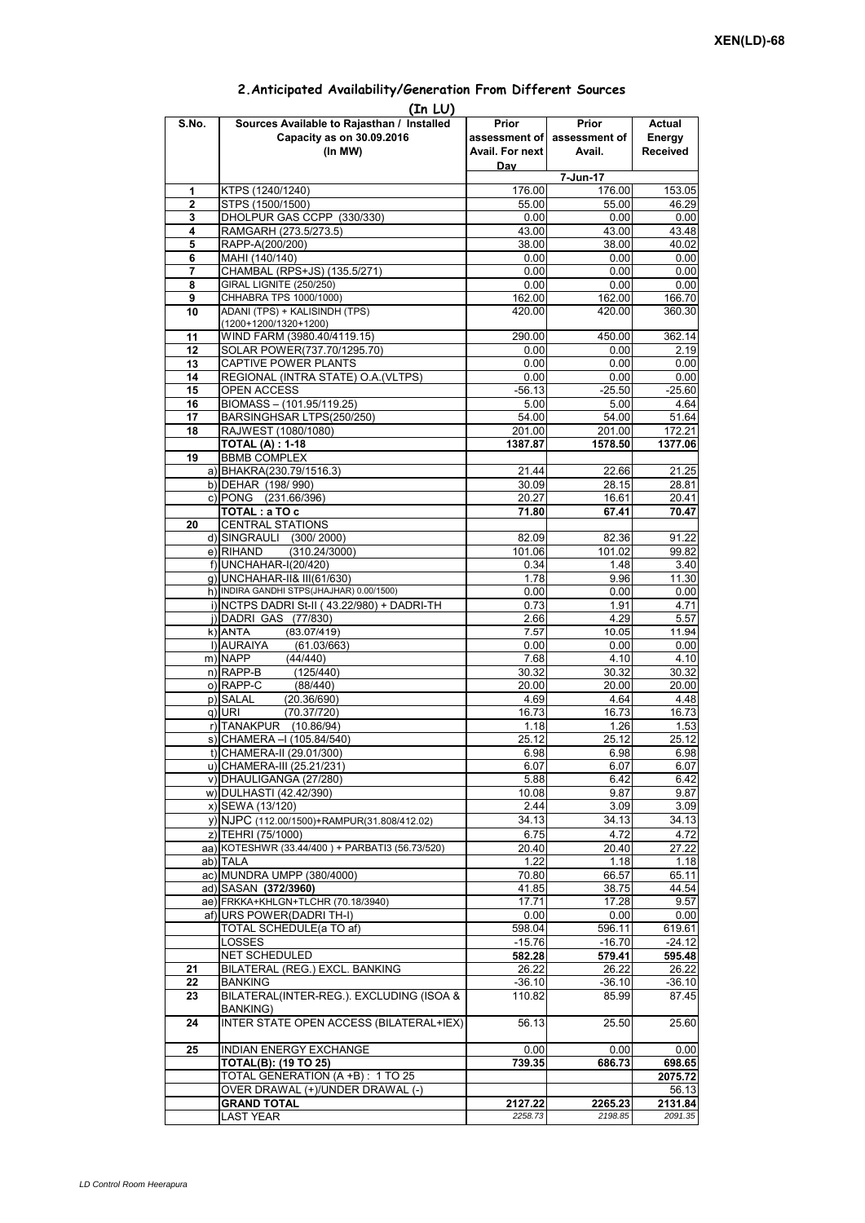## **Prior assessment of Avail. For next Day Prior assessment of Avail. Actual Energy Received**  1 **KTPS (1240/1240)** 176.00 176.00 176.00 153.05 **2** STPS (1500/1500) 55.00 55.00 46.29 **3** DHOLPUR GAS CCPP (330/330) **4** RAMGARH (273.5/273.5) 43.00 43.48<br> **5** RAPP-A(200/200) 40.02 **5** RAPP-A(200/200) **38.00** 38.00 38.00<br> **6** MAHI (140/140) 0.00 0.00 **6** MAHI (140/140) 0.00 0.00 0.00 **7** CHAMBAL (RPS+JS) (135.5/271) 0.00 0.00 0.00 0.00 **8** GIRAL LIGNITE (250/250) **0.00** 0.00 0.00 0.00 0.00<br>**9** CHHABRA TPS 1000/1000) 166.70 **9** CHHABRA TPS 1000/1000) **10** ADANI (TPS) + KALISINDH (TPS) (1200+1200/1320+1200) 420.00 420.00 360.30 **11** WIND FARM (3980.40/4119.15) 290.00 450.00 362.14 **12** SOLAR POWER(737.70/1295.70) 0.00 0.00 0.00 2.19 **13** CAPTIVE POWER PLANTS 0.00 0.00 0.00 0.00 **14** REGIONAL (INTRA STATE) O.A.(VLTPS) 0.00 0.00 0.00 0.00 0.00 15 OPEN ACCESS -56.13 -25.50 -25.60<br>16 BIOMASS – (101.95/119.25) -5.00 -5.00 -5.00 -4.64 **BIOMASS – (101.95/119.25)** 17 BARSINGHSAR LTPS(250/250) 54.00 54.00 51.64 **18** RAJWEST (1080/1080) 201.00 201.00 172.21 **TOTAL (A) : 1-18 1387.87 1578.50 1377.06 19** BBMB COMPLEX a) BHAKRA(230.79/1516.3) 21.44 22.66 21.25<br>b) DEHAR (198/990) 30.09 28.15 28.81 b) DEHAR (198/ 990) c) PONG (231.66/396) 20.27 16.61 20.41 **TOTAL : a TO c**  $\begin{array}{|c|c|c|c|c|c|} \hline \text{71.80} & \text{67.41} & \text{70.47} \hline \end{array}$ **20** CENTRAL STATIONS d) SINGRAULI (300/2000) 82.09 82.36 91.22<br>e) RIHAND (310.24/3000) 82.09 101.06 101.02 99.82  $(310.24/3000)$ f) 0.34 1.48 3.40 g) UNCHAHAR-II& III(61/630) 1.78 9.96 11.30 h) INDIRA GANDHI STPS(JHAJHAR) 0.00/1500) 0.00 0.00 0.00 0.00 0.00 0.00 i)  $NCTPS$  DADRI St-II (43.22/980) + DADRI-TH  $\vert$  0.73 1.91 4.71 j) DADRI GAS (77/830) 2.66 4.29 5.57 k)|ANTA (83.07/419) 7.57 10.05 11.94<br>1)|AURAIYA (61.03/663) 0.00 0.00 0.00 0.00 **(In LU) S.No. Sources Available to Rajasthan / Installed Capacity as on 30.09.2016 (In MW) 7-Jun-17** ANTA (83.07/419)7.5710.0511.94l) AURAIYA (61.03/663) 0.00 0.00 0.00 m) NAPP (44/440) 7.68 4.10 4.10 n) RAPP-B (125/440) 30.32 30.32 30.32 o) RAPP-C (88/440) 20.00 20.00 20.00 p) SALAL (20.36/690) 4.69 4.64 4.48<br>q) URI (70.37/720) 4.673 16.73 16.73 q) URI (70.37/720) 16.73 16.73 16.73 r) TANAKPUR (10.86/94) 1.18 1.18 1.26 1.53<br>s) CHAMERA – (105.84/540) 25.12 25.12 25.12 25.12  $\overline{s}$ ) CHAMERA –I (105.84/540) t) CHAMERA-II (29.01/300) 6.98 6.98 6.98 6.98 u) CHAMERA-III (25.21/231) 6.07 6.07 6.07 v) DHAULIGANGA (27/280) 5.88 6.42 6.42 w) DULHASTI (42.42/390) 10.08 10.08 9.87 9.87 x) SEWA (13/120) 2.44 3.09 3.09 y) NJPC (112.00/1500) + RAMPUR(31.808/412.02) 34.13 34.13 z) TEHRI (75/1000) 6.75 4.72 4.72 4.72<br>a) KOTESHWR (33.44/400 ) + PARBATI3 (56.73/520) 20.40 20.40 20.40 27.22 aa) KOTESHWR (33.44/400) + PARBATI3 (56.73/520) ab) TALA 1.22 1.18 1.18 ac) MUNDRA UMPP (380/4000) 70.80 66.57 65.11 ad) SASAN **(372/3960)** 41.85 38.75 44.54<br>ae) FRKKA+KHLGN+TLCHR (70.18/3940) 47.71 47.28 9.57 ae) FRKKA+KHLGN+TLCHR (70.18/3940) af) URS POWER(DADRI TH-I) 2000 0.00 0.00 0.00 0.00 TOTAL SCHEDULE(a TO af) 598.04 596.11 619.61 LOSSES -15.76 -16.70 -24.12 NET SCHEDULED **582.28 579.41 595.48 21** BILATERAL (REG.) EXCL. BANKING 26.22 26.22 26.22 **22** BANKING -36.10 -36.10 -36.10 -36.10 -36.10 **23** BILATERAL(INTER-REG.). EXCLUDING (ISOA & BANKING) 110.82 85.99 87.45 **24** INTER STATE OPEN ACCESS (BILATERAL+IEX) 56.13 25.50 25.60 **25 INDIAN ENERGY EXCHANGE 0.000 0.000 0.000 0.000** 0.00 **TOTAL(B): (19 TO 25) 739.35 686.73 698.65** TOTAL GENERATION (A +B) : 1 TO 25 **2075.72** OVER DRAWAL (+)/UNDER DRAWAL (-) **GRAND TOTAL 2127.22 2265.23 2131.84** LAST YEAR *2258.73 2198.85 2091.35*

## **2.Anticipated Availability/Generation From Different Sources**